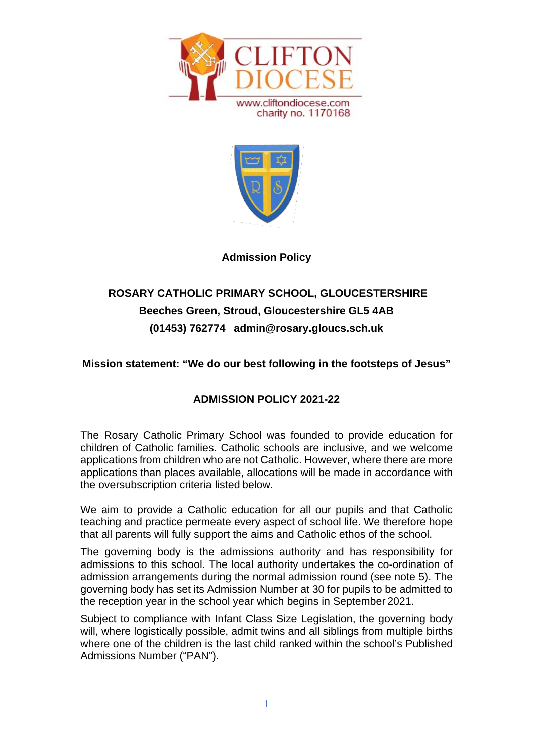



## **Admission Policy**

# **ROSARY CATHOLIC PRIMARY SCHOOL, GLOUCESTERSHIRE Beeches Green, Stroud, Gloucestershire GL5 4AB (01453) 762774 [admin@rosary.gloucs.sch.uk](mailto:admin@rosary.gloucs.sch.uk)**

## **Mission statement: "We do our best following in the footsteps of Jesus"**

# **ADMISSION POLICY 2021-22**

The Rosary Catholic Primary School was founded to provide education for children of Catholic families. Catholic schools are inclusive, and we welcome applications from children who are not Catholic. However, where there are more applications than places available, allocations will be made in accordance with the oversubscription criteria listed below.

We aim to provide a Catholic education for all our pupils and that Catholic teaching and practice permeate every aspect of school life. We therefore hope that all parents will fully support the aims and Catholic ethos of the school.

The governing body is the admissions authority and has responsibility for admissions to this school. The local authority undertakes the co-ordination of admission arrangements during the normal admission round (see note 5). The governing body has set its Admission Number at 30 for pupils to be admitted to the reception year in the school year which begins in September 2021.

Subject to compliance with Infant Class Size Legislation, the governing body will, where logistically possible, admit twins and all siblings from multiple births where one of the children is the last child ranked within the school's Published Admissions Number ("PAN").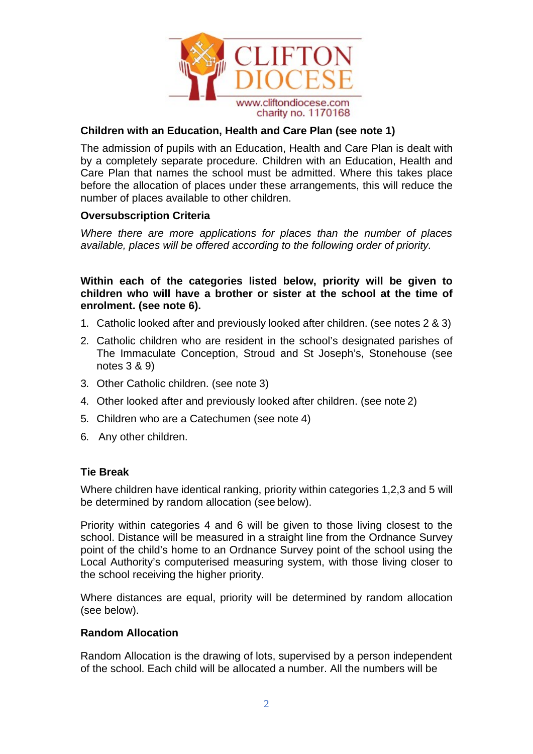

## **Children with an Education, Health and Care Plan (see note 1)**

The admission of pupils with an Education, Health and Care Plan is dealt with by a completely separate procedure. Children with an Education, Health and Care Plan that names the school must be admitted. Where this takes place before the allocation of places under these arrangements, this will reduce the number of places available to other children.

#### **Oversubscription Criteria**

*Where there are more applications for places than the number of places available, places will be offered according to the following order of priority.*

**Within each of the categories listed below, priority will be given to children who will have a brother or sister at the school at the time of enrolment. (see note 6).**

- 1. Catholic looked after and previously looked after children. (see notes 2 & 3)
- 2. Catholic children who are resident in the school's designated parishes of The Immaculate Conception, Stroud and St Joseph's, Stonehouse (see notes 3 & 9)
- 3. Other Catholic children. (see note 3)
- 4. Other looked after and previously looked after children. (see note 2)
- 5. Children who are a Catechumen (see note 4)
- 6. Any other children.

#### **Tie Break**

Where children have identical ranking, priority within categories 1,2,3 and 5 will be determined by random allocation (see below).

Priority within categories 4 and 6 will be given to those living closest to the school. Distance will be measured in a straight line from the Ordnance Survey point of the child's home to an Ordnance Survey point of the school using the Local Authority's computerised measuring system, with those living closer to the school receiving the higher priority.

Where distances are equal, priority will be determined by random allocation (see below).

#### **Random Allocation**

Random Allocation is the drawing of lots, supervised by a person independent of the school. Each child will be allocated a number. All the numbers will be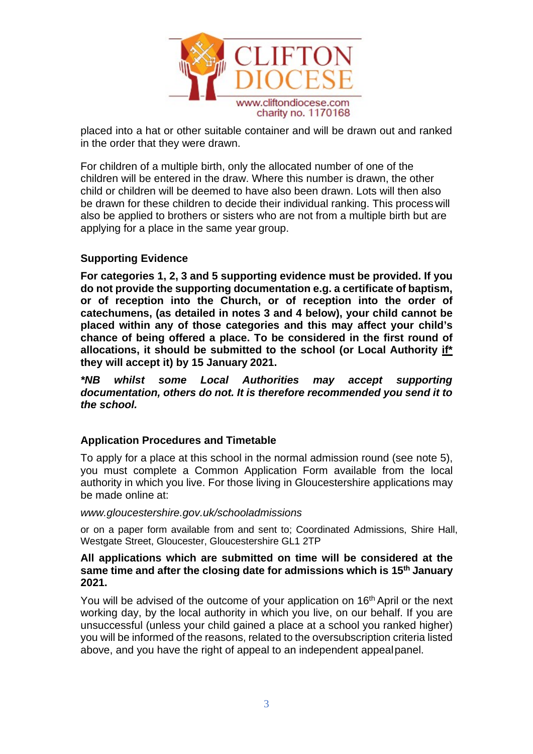

placed into a hat or other suitable container and will be drawn out and ranked in the order that they were drawn.

For children of a multiple birth, only the allocated number of one of the children will be entered in the draw. Where this number is drawn, the other child or children will be deemed to have also been drawn. Lots will then also be drawn for these children to decide their individual ranking. This process will also be applied to brothers or sisters who are not from a multiple birth but are applying for a place in the same year group.

## **Supporting Evidence**

**For categories 1, 2, 3 and 5 supporting evidence must be provided. If you do not provide the supporting documentation e.g. a certificate of baptism, or of reception into the Church, or of reception into the order of catechumens, (as detailed in notes 3 and 4 below), your child cannot be placed within any of those categories and this may affect your child's chance of being offered a place. To be considered in the first round of allocations, it should be submitted to the school (or Local Authority if\* they will accept it) by 15 January 2021.**

*\*NB whilst some Local Authorities may accept supporting documentation, others do not. It is therefore recommended you send it to the school.*

#### **Application Procedures and Timetable**

To apply for a place at this school in the normal admission round (see note 5), you must complete a Common Application Form available from the local authority in which you live. For those living in Gloucestershire applications may be made online at:

#### *[www.gloucestershire.gov.uk/schooladmissions](http://www.gloucestershire.gov.uk/schooladmissions)*

or on a paper form available from and sent to; Coordinated Admissions, Shire Hall, Westgate Street, Gloucester, Gloucestershire GL1 2TP

#### **All applications which are submitted on time will be considered at the same time and after the closing date for admissions which is 15th January 2021.**

You will be advised of the outcome of your application on 16<sup>th</sup> April or the next working day, by the local authority in which you live, on our behalf. If you are unsuccessful (unless your child gained a place at a school you ranked higher) you will be informed of the reasons, related to the oversubscription criteria listed above, and you have the right of appeal to an independent appealpanel.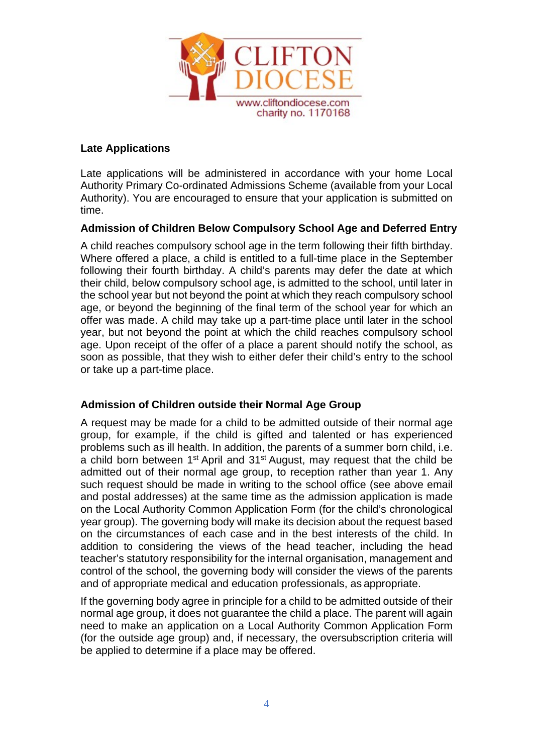

## **Late Applications**

Late applications will be administered in accordance with your home Local Authority Primary Co-ordinated Admissions Scheme (available from your Local Authority). You are encouraged to ensure that your application is submitted on time.

## **Admission of Children Below Compulsory School Age and Deferred Entry**

A child reaches compulsory school age in the term following their fifth birthday. Where offered a place, a child is entitled to a full-time place in the September following their fourth birthday. A child's parents may defer the date at which their child, below compulsory school age, is admitted to the school, until later in the school year but not beyond the point at which they reach compulsory school age, or beyond the beginning of the final term of the school year for which an offer was made. A child may take up a part-time place until later in the school year, but not beyond the point at which the child reaches compulsory school age. Upon receipt of the offer of a place a parent should notify the school, as soon as possible, that they wish to either defer their child's entry to the school or take up a part-time place.

## **Admission of Children outside their Normal Age Group**

A request may be made for a child to be admitted outside of their normal age group, for example, if the child is gifted and talented or has experienced problems such as ill health. In addition, the parents of a summer born child, i.e. a child born between  $1<sup>st</sup>$  April and  $31<sup>st</sup>$  August, may request that the child be admitted out of their normal age group, to reception rather than year 1. Any such request should be made in writing to the school office (see above email and postal addresses) at the same time as the admission application is made on the Local Authority Common Application Form (for the child's chronological year group). The governing body will make its decision about the request based on the circumstances of each case and in the best interests of the child. In addition to considering the views of the head teacher, including the head teacher's statutory responsibility for the internal organisation, management and control of the school, the governing body will consider the views of the parents and of appropriate medical and education professionals, as appropriate.

If the governing body agree in principle for a child to be admitted outside of their normal age group, it does not guarantee the child a place. The parent will again need to make an application on a Local Authority Common Application Form (for the outside age group) and, if necessary, the oversubscription criteria will be applied to determine if a place may be offered.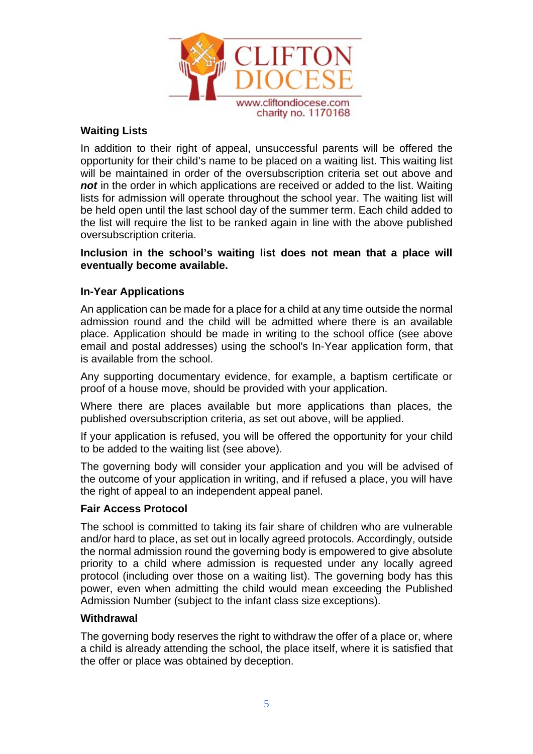

## **Waiting Lists**

In addition to their right of appeal, unsuccessful parents will be offered the opportunity for their child's name to be placed on a waiting list. This waiting list will be maintained in order of the oversubscription criteria set out above and not in the order in which applications are received or added to the list. Waiting lists for admission will operate throughout the school year. The waiting list will be held open until the last school day of the summer term. Each child added to the list will require the list to be ranked again in line with the above published oversubscription criteria.

### **Inclusion in the school's waiting list does not mean that a place will eventually become available.**

## **In-Year Applications**

An application can be made for a place for a child at any time outside the normal admission round and the child will be admitted where there is an available place. Application should be made in writing to the school office (see above email and postal addresses) using the school's In-Year application form, that is available from the school.

Any supporting documentary evidence, for example, a baptism certificate or proof of a house move, should be provided with your application.

Where there are places available but more applications than places, the published oversubscription criteria, as set out above, will be applied.

If your application is refused, you will be offered the opportunity for your child to be added to the waiting list (see above).

The governing body will consider your application and you will be advised of the outcome of your application in writing, and if refused a place, you will have the right of appeal to an independent appeal panel.

#### **Fair Access Protocol**

The school is committed to taking its fair share of children who are vulnerable and/or hard to place, as set out in locally agreed protocols. Accordingly, outside the normal admission round the governing body is empowered to give absolute priority to a child where admission is requested under any locally agreed protocol (including over those on a waiting list). The governing body has this power, even when admitting the child would mean exceeding the Published Admission Number (subject to the infant class size exceptions).

#### **Withdrawal**

The governing body reserves the right to withdraw the offer of a place or, where a child is already attending the school, the place itself, where it is satisfied that the offer or place was obtained by deception.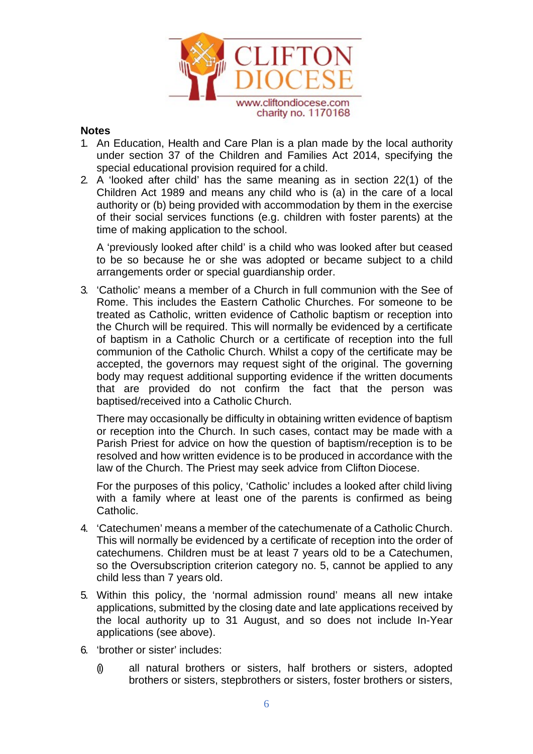

### **Notes**

- 1. An Education, Health and Care Plan is a plan made by the local authority under section 37 of the Children and Families Act 2014, specifying the special educational provision required for a child.
- 2. A 'looked after child' has the same meaning as in section 22(1) of the Children Act 1989 and means any child who is (a) in the care of a local authority or (b) being provided with accommodation by them in the exercise of their social services functions (e.g. children with foster parents) at the time of making application to the school.

A 'previously looked after child' is a child who was looked after but ceased to be so because he or she was adopted or became subject to a child arrangements order or special guardianship order.

3. 'Catholic' means a member of a Church in full communion with the See of Rome. This includes the Eastern Catholic Churches. For someone to be treated as Catholic, written evidence of Catholic baptism or reception into the Church will be required. This will normally be evidenced by a certificate of baptism in a Catholic Church or a certificate of reception into the full communion of the Catholic Church. Whilst a copy of the certificate may be accepted, the governors may request sight of the original. The governing body may request additional supporting evidence if the written documents that are provided do not confirm the fact that the person was baptised/received into a Catholic Church.

There may occasionally be difficulty in obtaining written evidence of baptism or reception into the Church. In such cases, contact may be made with a Parish Priest for advice on how the question of baptism/reception is to be resolved and how written evidence is to be produced in accordance with the law of the Church. The Priest may seek advice from Clifton Diocese.

For the purposes of this policy, 'Catholic' includes a looked after child living with a family where at least one of the parents is confirmed as being Catholic.

- 4. 'Catechumen' means a member of the catechumenate of a Catholic Church. This will normally be evidenced by a certificate of reception into the order of catechumens. Children must be at least 7 years old to be a Catechumen, so the Oversubscription criterion category no. 5, cannot be applied to any child less than 7 years old.
- 5. Within this policy, the 'normal admission round' means all new intake applications, submitted by the closing date and late applications received by the local authority up to 31 August, and so does not include In-Year applications (see above).
- 6. 'brother or sister' includes:
	- (i) all natural brothers or sisters, half brothers or sisters, adopted brothers or sisters, stepbrothers or sisters, foster brothers or sisters,